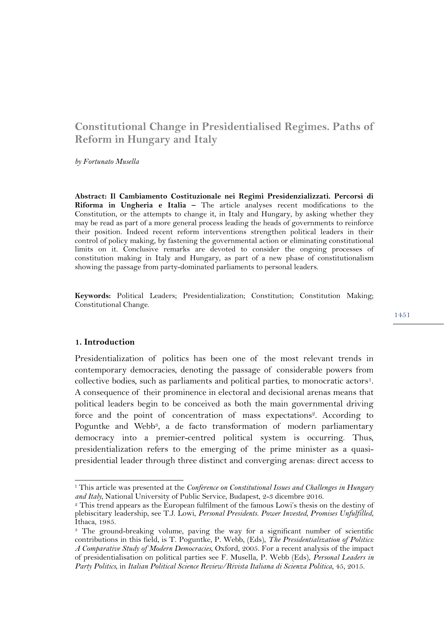# **Constitutional Change in Presidentialised Regimes. Paths of Reform in Hungary and Italy**

*by Fortunato Musella*

**Abstract: Il Cambiamento Costituzionale nei Regimi Presidenzializzati. Percorsi di Riforma in Ungheria e Italia –** The article analyses recent modifications to the Constitution, or the attempts to change it, in Italy and Hungary, by asking whether they may be read as part of a more general process leading the heads of governments to reinforce their position. Indeed recent reform interventions strengthen political leaders in their control of policy making, by fastening the governmental action or eliminating constitutional limits on it. Conclusive remarks are devoted to consider the ongoing processes of constitution making in Italy and Hungary, as part of a new phase of constitutionalism showing the passage from party-dominated parliaments to personal leaders.

**Keywords:** Political Leaders; Presidentialization; Constitution; Constitution Making; Constitutional Change.

#### **1. Introduction**

Presidentialization of politics has been one of the most relevant trends in contemporary democracies, denoting the passage of considerable powers from collective bodies, such as parliaments and political parties, to monocratic actors<sup>1</sup>. A consequence of their prominence in electoral and decisional arenas means that political leaders begin to be conceived as both the main governmental driving force and the point of concentration of mass expectations<sup>2</sup>. According to Poguntke and Webb<sup>3</sup>, a de facto transformation of modern parliamentary democracy into a premier-centred political system is occurring. Thus, presidentialization refers to the emerging of the prime minister as a quasipresidential leader through three distinct and converging arenas: direct access to

 <sup>1</sup> This article was presented at the *Conference on Constitutional Issues and Challenges in Hungary and Italy*, National University of Public Service, Budapest, 2-3 dicembre 2016.

<sup>&</sup>lt;sup>2</sup> This trend appears as the European fulfilment of the famous Lowi's thesis on the destiny of plebiscitary leadership, see T.J. Lowi, *Personal Presidents. Power Invested, Promises Unfulfilled*, Ithaca, 1985.

<sup>3</sup> The ground-breaking volume, paving the way for a significant number of scientific contributions in this field, is T. Poguntke, P. Webb, (Eds), *The Presidentialization of Politics: A Comparative Study of Modern Democracies*, Oxford, 2005. For a recent analysis of the impact of presidentialisation on political parties see F. Musella, P. Webb (Eds), *Personal Leaders in Party Politics*, in *Italian Political Science Review/Rivista Italiana di Scienza Politica*, 45, 2015.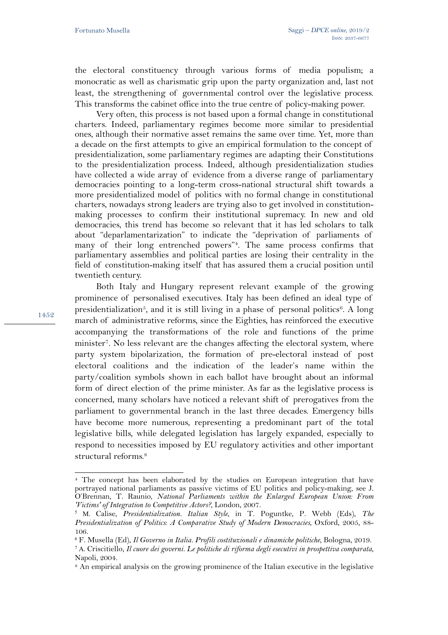the electoral constituency through various forms of media populism; a monocratic as well as charismatic grip upon the party organization and, last not least, the strengthening of governmental control over the legislative process. This transforms the cabinet office into the true centre of policy-making power.

Very often, this process is not based upon a formal change in constitutional charters. Indeed, parliamentary regimes become more similar to presidential ones, although their normative asset remains the same over time. Yet, more than a decade on the first attempts to give an empirical formulation to the concept of presidentialization, some parliamentary regimes are adapting their Constitutions to the presidentialization process. Indeed, although presidentialization studies have collected a wide array of evidence from a diverse range of parliamentary democracies pointing to a long-term cross-national structural shift towards a more presidentialized model of politics with no formal change in constitutional charters, nowadays strong leaders are trying also to get involved in constitutionmaking processes to confirm their institutional supremacy. In new and old democracies, this trend has become so relevant that it has led scholars to talk about "deparlamentarization" to indicate the "deprivation of parliaments of many of their long entrenched powers"4. The same process confirms that parliamentary assemblies and political parties are losing their centrality in the field of constitution-making itself that has assured them a crucial position until twentieth century.

Both Italy and Hungary represent relevant example of the growing prominence of personalised executives. Italy has been defined an ideal type of presidentialization<sup>5</sup>, and it is still living in a phase of personal politics<sup>6</sup>. A long march of administrative reforms, since the Eighties, has reinforced the executive accompanying the transformations of the role and functions of the prime minister<sup>7</sup>. No less relevant are the changes affecting the electoral system, where party system bipolarization, the formation of pre-electoral instead of post electoral coalitions and the indication of the leader's name within the party/coalition symbols shown in each ballot have brought about an informal form of direct election of the prime minister. As far as the legislative process is concerned, many scholars have noticed a relevant shift of prerogatives from the parliament to governmental branch in the last three decades. Emergency bills have become more numerous, representing a predominant part of the total legislative bills, while delegated legislation has largely expanded, especially to respond to necessities imposed by EU regulatory activities and other important structural reforms.<sup>8</sup>

1452

l

<sup>4</sup> The concept has been elaborated by the studies on European integration that have portrayed national parliaments as passive victims of EU politics and policy-making, see J. O'Brennan, T. Raunio, *National Parliaments within the Enlarged European Union: From 'Victims' of Integration to Competitive Actors?*, London, 2007.

<sup>5</sup> M. Calise, *Presidentialization. Italian Style*, in T. Poguntke, P. Webb (Eds), *The Presidentialization of Politics: A Comparative Study of Modern Democracies*, Oxford, 2005, 88- 106.

<sup>6</sup> F. Musella (Ed), *Il Governo in Italia. Profili costituzionali e dinamiche politiche*, Bologna, 2019.

<sup>7</sup> A. Criscitiello, *Il cuore dei governi. Le politiche di riforma degli esecutivi in prospettiva comparata*, Napoli, 2004.

<sup>8</sup> An empirical analysis on the growing prominence of the Italian executive in the legislative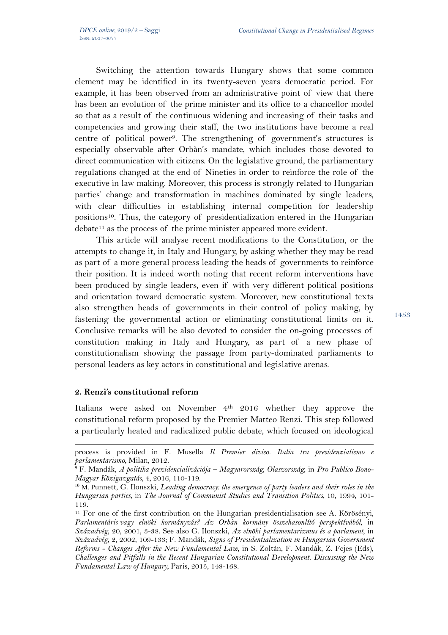Switching the attention towards Hungary shows that some common element may be identified in its twenty-seven years democratic period. For example, it has been observed from an administrative point of view that there has been an evolution of the prime minister and its office to a chancellor model so that as a result of the continuous widening and increasing of their tasks and competencies and growing their staff, the two institutions have become a real centre of political power9. The strengthening of government's structures is especially observable after Orbàn's mandate, which includes those devoted to direct communication with citizens. On the legislative ground, the parliamentary regulations changed at the end of Nineties in order to reinforce the role of the executive in law making. Moreover, this process is strongly related to Hungarian parties' change and transformation in machines dominated by single leaders, with clear difficulties in establishing internal competition for leadership positions10. Thus, the category of presidentialization entered in the Hungarian  $debate<sup>11</sup>$  as the process of the prime minister appeared more evident.

This article will analyse recent modifications to the Constitution, or the attempts to change it, in Italy and Hungary, by asking whether they may be read as part of a more general process leading the heads of governments to reinforce their position. It is indeed worth noting that recent reform interventions have been produced by single leaders, even if with very different political positions and orientation toward democratic system. Moreover, new constitutional texts also strengthen heads of governments in their control of policy making, by fastening the governmental action or eliminating constitutional limits on it. Conclusive remarks will be also devoted to consider the on-going processes of constitution making in Italy and Hungary, as part of a new phase of constitutionalism showing the passage from party-dominated parliaments to personal leaders as key actors in constitutional and legislative arenas.

## **2. Renzi's constitutional reform**

 $\overline{a}$ 

Italians were asked on November 4th 2016 whether they approve the constitutional reform proposed by the Premier Matteo Renzi. This step followed a particularly heated and radicalized public debate, which focused on ideological

process is provided in F. Musella *Il Premier diviso. Italia tra presidenzialismo e parlamentarismo*, Milan, 2012.

<sup>9</sup> F. Mandák, *A politika prezidencializációja – Magyarország, Olaszország*, in *Pro Publico Bono-Magyar Közigazgatás*, 4, 2016, 110-119.

<sup>10</sup> M. Punnett, G. Ilonszki, *Leading democracy: the emergence of party leaders and their roles in the Hungarian parties*, in *The Journal of Communist Studies and Transition Politics*, 10, 1994, 101- 119.

<sup>11</sup> For one of the first contribution on the Hungarian presidentialisation see A. Körösényi, *Parlamentáris vagy elnöki kormányzás? Az Orbàn kormány összehasonlító perspektívából*, in *Századvég*, 20, 2001, 3-38. See also G. Ilonszki, *Az elnöki parlamentarizmus és a parlament*, in *Századvég*, 2, 2002, 109-133; F. Mandák, *Signs of Presidentialization in Hungarian Government Reforms - Changes After the New Fundamental Law*, in S. Zoltán, F. Mandák, Z. Fejes (Eds), *Challenges and Pitfalls in the Recent Hungarian Constitutional Development. Discussing the New Fundamental Law of Hungary*, Paris, 2015, 148-168.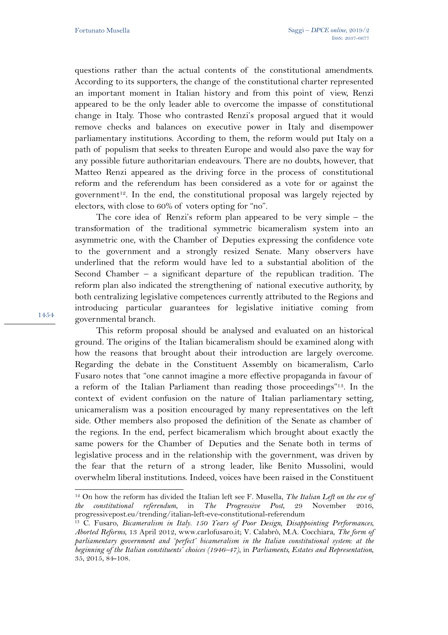questions rather than the actual contents of the constitutional amendments. According to its supporters, the change of the constitutional charter represented an important moment in Italian history and from this point of view, Renzi appeared to be the only leader able to overcome the impasse of constitutional change in Italy. Those who contrasted Renzi's proposal argued that it would remove checks and balances on executive power in Italy and disempower parliamentary institutions. According to them, the reform would put Italy on a path of populism that seeks to threaten Europe and would also pave the way for any possible future authoritarian endeavours. There are no doubts, however, that Matteo Renzi appeared as the driving force in the process of constitutional reform and the referendum has been considered as a vote for or against the government<sup>12</sup>. In the end, the constitutional proposal was largely rejected by electors, with close to 60% of voters opting for "no".

The core idea of Renzi's reform plan appeared to be very simple – the transformation of the traditional symmetric bicameralism system into an asymmetric one, with the Chamber of Deputies expressing the confidence vote to the government and a strongly resized Senate. Many observers have underlined that the reform would have led to a substantial abolition of the Second Chamber – a significant departure of the republican tradition. The reform plan also indicated the strengthening of national executive authority, by both centralizing legislative competences currently attributed to the Regions and introducing particular guarantees for legislative initiative coming from governmental branch.

This reform proposal should be analysed and evaluated on an historical ground. The origins of the Italian bicameralism should be examined along with how the reasons that brought about their introduction are largely overcome. Regarding the debate in the Constituent Assembly on bicameralism, Carlo Fusaro notes that "one cannot imagine a more effective propaganda in favour of a reform of the Italian Parliament than reading those proceedings"13. In the context of evident confusion on the nature of Italian parliamentary setting, unicameralism was a position encouraged by many representatives on the left side. Other members also proposed the definition of the Senate as chamber of the regions. In the end, perfect bicameralism which brought about exactly the same powers for the Chamber of Deputies and the Senate both in terms of legislative process and in the relationship with the government, was driven by the fear that the return of a strong leader, like Benito Mussolini, would overwhelm liberal institutions. Indeed, voices have been raised in the Constituent

1454

 $\overline{a}$ 

<sup>12</sup> On how the reform has divided the Italian left see F. Musella, *The Italian Left on the eve of the constitutional referendum*, in *The Progressive Post*, 29 November 2016, progressivepost.eu/trending/italian-left-eve-constitutional-referendum

<sup>13</sup> C. Fusaro, *Bicameralism in Italy. 150 Years of Poor Design, Disappointing Performances, Aborted Reforms*, 13 April 2012, www.carlofusaro.it; V. Calabrò, M.A. Cocchiara, *The form of parliamentary government and 'perfect' bicameralism in the Italian constitutional system: at the beginning of the Italian constituents' choices (1946–47)*, in *Parliaments, Estates and Representation*, 35, 2015, 84-108.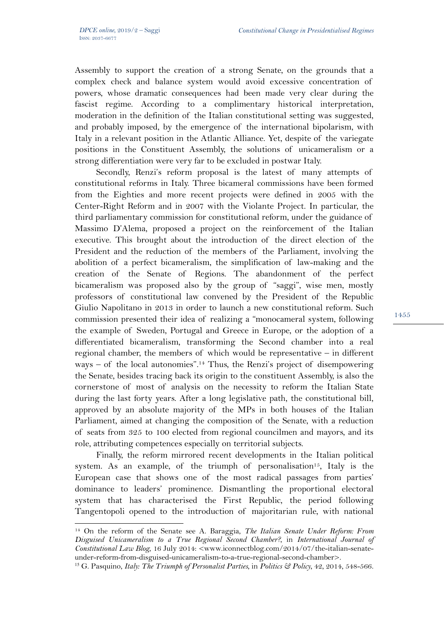$\overline{a}$ 

Assembly to support the creation of a strong Senate, on the grounds that a complex check and balance system would avoid excessive concentration of powers, whose dramatic consequences had been made very clear during the fascist regime. According to a complimentary historical interpretation, moderation in the definition of the Italian constitutional setting was suggested, and probably imposed, by the emergence of the international bipolarism, with Italy in a relevant position in the Atlantic Alliance. Yet, despite of the variegate positions in the Constituent Assembly, the solutions of unicameralism or a strong differentiation were very far to be excluded in postwar Italy.

Secondly, Renzi's reform proposal is the latest of many attempts of constitutional reforms in Italy. Three bicameral commissions have been formed from the Eighties and more recent projects were defined in 2005 with the Center-Right Reform and in 2007 with the Violante Project. In particular, the third parliamentary commission for constitutional reform, under the guidance of Massimo D'Alema, proposed a project on the reinforcement of the Italian executive. This brought about the introduction of the direct election of the President and the reduction of the members of the Parliament, involving the abolition of a perfect bicameralism, the simplification of law-making and the creation of the Senate of Regions. The abandonment of the perfect bicameralism was proposed also by the group of "saggi", wise men, mostly professors of constitutional law convened by the President of the Republic Giulio Napolitano in 2013 in order to launch a new constitutional reform. Such commission presented their idea of realizing a "monocameral system, following the example of Sweden, Portugal and Greece in Europe, or the adoption of a differentiated bicameralism, transforming the Second chamber into a real regional chamber, the members of which would be representative – in different ways – of the local autonomies".14 Thus, the Renzi's project of disempowering the Senate, besides tracing back its origin to the constituent Assembly, is also the cornerstone of most of analysis on the necessity to reform the Italian State during the last forty years. After a long legislative path, the constitutional bill, approved by an absolute majority of the MPs in both houses of the Italian Parliament, aimed at changing the composition of the Senate, with a reduction of seats from 325 to 100 elected from regional councilmen and mayors, and its role, attributing competences especially on territorial subjects.

Finally, the reform mirrored recent developments in the Italian political system. As an example, of the triumph of personalisation<sup>15</sup>, Italy is the European case that shows one of the most radical passages from parties' dominance to leaders' prominence. Dismantling the proportional electoral system that has characterised the First Republic, the period following Tangentopoli opened to the introduction of majoritarian rule, with national

<sup>14</sup> On the reform of the Senate see A. Baraggia, *The Italian Senate Under Reform: From Disguised Unicameralism to a True Regional Second Chamber?*, in *International Journal of Constitutional Law Blog*, 16 July 2014: <www.iconnectblog.com/2014/07/the-italian-senateunder-reform-from-disguised-unicameralism-to-a-true-regional-second-chamber>.

<sup>15</sup> G. Pasquino, *Italy: The Triumph of Personalist Parties*, in *Politics & Policy*, 42, 2014, 548-566.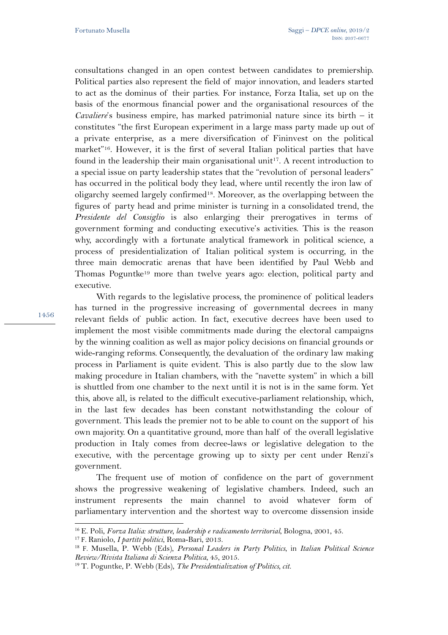consultations changed in an open contest between candidates to premiership. Political parties also represent the field of major innovation, and leaders started to act as the dominus of their parties. For instance, Forza Italia, set up on the basis of the enormous financial power and the organisational resources of the *Cavaliere*'s business empire, has marked patrimonial nature since its birth – it constitutes "the first European experiment in a large mass party made up out of a private enterprise, as a mere diversification of Fininvest on the political market"16. However, it is the first of several Italian political parties that have found in the leadership their main organisational unit<sup>17</sup>. A recent introduction to a special issue on party leadership states that the "revolution of personal leaders" has occurred in the political body they lead, where until recently the iron law of oligarchy seemed largely confirmed18. Moreover, as the overlapping between the figures of party head and prime minister is turning in a consolidated trend, the *Presidente del Consiglio* is also enlarging their prerogatives in terms of government forming and conducting executive's activities. This is the reason why, accordingly with a fortunate analytical framework in political science, a process of presidentialization of Italian political system is occurring, in the three main democratic arenas that have been identified by Paul Webb and Thomas Poguntke19 more than twelve years ago: election, political party and executive.

1456

With regards to the legislative process, the prominence of political leaders has turned in the progressive increasing of governmental decrees in many relevant fields of public action. In fact, executive decrees have been used to implement the most visible commitments made during the electoral campaigns by the winning coalition as well as major policy decisions on financial grounds or wide-ranging reforms. Consequently, the devaluation of the ordinary law making process in Parliament is quite evident. This is also partly due to the slow law making procedure in Italian chambers, with the "navette system" in which a bill is shuttled from one chamber to the next until it is not is in the same form. Yet this, above all, is related to the difficult executive-parliament relationship, which, in the last few decades has been constant notwithstanding the colour of government. This leads the premier not to be able to count on the support of his own majority. On a quantitative ground, more than half of the overall legislative production in Italy comes from decree-laws or legislative delegation to the executive, with the percentage growing up to sixty per cent under Renzi's government.

The frequent use of motion of confidence on the part of government shows the progressive weakening of legislative chambers. Indeed, such an instrument represents the main channel to avoid whatever form of parliamentary intervention and the shortest way to overcome dissension inside

 <sup>16</sup> E. Poli, *Forza Italia: strutture, leadership e radicamento territorial*, Bologna, 2001, 45.

<sup>17</sup> F. Raniolo, *I partiti politici*, Roma-Bari, 2013.

<sup>18</sup> F. Musella, P. Webb (Eds), *Personal Leaders in Party Politics*, in *Italian Political Science Review/Rivista Italiana di Scienza Politica*, 45, 2015.

<sup>19</sup> T. Poguntke, P. Webb (Eds), *The Presidentialization of Politics, cit.*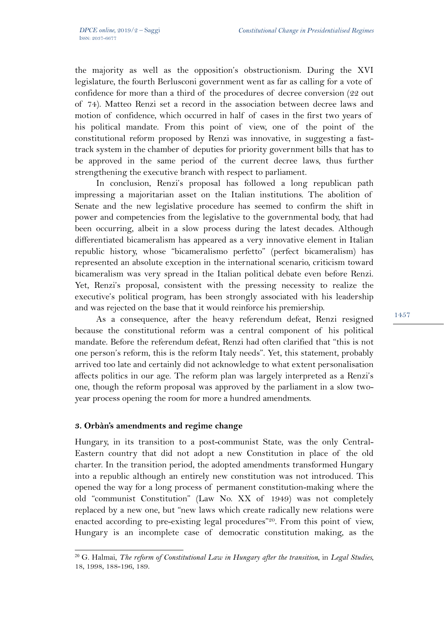the majority as well as the opposition's obstructionism. During the XVI legislature, the fourth Berlusconi government went as far as calling for a vote of confidence for more than a third of the procedures of decree conversion (22 out of 74). Matteo Renzi set a record in the association between decree laws and motion of confidence, which occurred in half of cases in the first two years of his political mandate. From this point of view, one of the point of the constitutional reform proposed by Renzi was innovative, in suggesting a fasttrack system in the chamber of deputies for priority government bills that has to be approved in the same period of the current decree laws, thus further strengthening the executive branch with respect to parliament.

In conclusion, Renzi's proposal has followed a long republican path impressing a majoritarian asset on the Italian institutions. The abolition of Senate and the new legislative procedure has seemed to confirm the shift in power and competencies from the legislative to the governmental body, that had been occurring, albeit in a slow process during the latest decades. Although differentiated bicameralism has appeared as a very innovative element in Italian republic history, whose "bicameralismo perfetto" (perfect bicameralism) has represented an absolute exception in the international scenario, criticism toward bicameralism was very spread in the Italian political debate even before Renzi. Yet, Renzi's proposal, consistent with the pressing necessity to realize the executive's political program, has been strongly associated with his leadership and was rejected on the base that it would reinforce his premiership.

As a consequence, after the heavy referendum defeat, Renzi resigned because the constitutional reform was a central component of his political mandate. Before the referendum defeat, Renzi had often clarified that "this is not one person's reform, this is the reform Italy needs". Yet, this statement, probably arrived too late and certainly did not acknowledge to what extent personalisation affects politics in our age. The reform plan was largely interpreted as a Renzi's one, though the reform proposal was approved by the parliament in a slow twoyear process opening the room for more a hundred amendments.

## **3. Orbàn's amendments and regime change**

Hungary, in its transition to a post-communist State, was the only Central-Eastern country that did not adopt a new Constitution in place of the old charter. In the transition period, the adopted amendments transformed Hungary into a republic although an entirely new constitution was not introduced. This opened the way for a long process of permanent constitution-making where the old "communist Constitution" (Law No. XX of 1949) was not completely replaced by a new one, but "new laws which create radically new relations were enacted according to pre-existing legal procedures"<sup>20</sup>. From this point of view, Hungary is an incomplete case of democratic constitution making, as the

 <sup>20</sup> G. Halmai, *The reform of Constitutional Law in Hungary after the transition*, in *Legal Studies*, 18, 1998, 188-196, 189.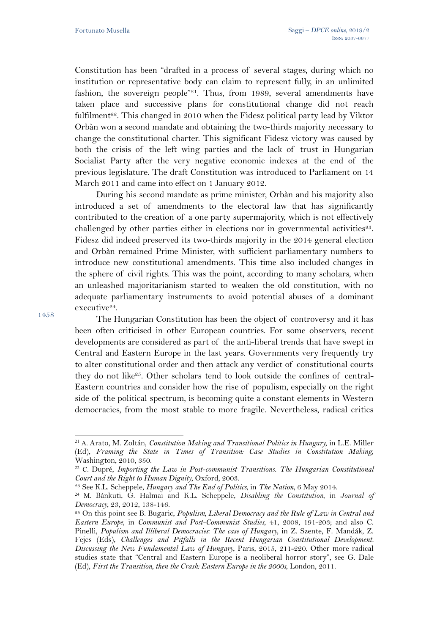Constitution has been "drafted in a process of several stages, during which no institution or representative body can claim to represent fully, in an unlimited fashion, the sovereign people"<sup>21</sup>. Thus, from 1989, several amendments have taken place and successive plans for constitutional change did not reach fulfilment<sup>22</sup>. This changed in 2010 when the Fidesz political party lead by Viktor Orbàn won a second mandate and obtaining the two-thirds majority necessary to change the constitutional charter. This significant Fidesz victory was caused by both the crisis of the left wing parties and the lack of trust in Hungarian Socialist Party after the very negative economic indexes at the end of the previous legislature. The draft Constitution was introduced to Parliament on 14 March 2011 and came into effect on 1 January 2012.

During his second mandate as prime minister, Orbàn and his majority also introduced a set of amendments to the electoral law that has significantly contributed to the creation of a one party supermajority, which is not effectively challenged by other parties either in elections nor in governmental activities<sup>23</sup>. Fidesz did indeed preserved its two-thirds majority in the 2014 general election and Orbàn remained Prime Minister, with sufficient parliamentary numbers to introduce new constitutional amendments. This time also included changes in the sphere of civil rights. This was the point, according to many scholars, when an unleashed majoritarianism started to weaken the old constitution, with no adequate parliamentary instruments to avoid potential abuses of a dominant executive<sup>24</sup>.

The Hungarian Constitution has been the object of controversy and it has been often criticised in other European countries. For some observers, recent developments are considered as part of the anti-liberal trends that have swept in Central and Eastern Europe in the last years. Governments very frequently try to alter constitutional order and then attack any verdict of constitutional courts they do not like<sup>25</sup>. Other scholars tend to look outside the confines of central-Eastern countries and consider how the rise of populism, especially on the right side of the political spectrum, is becoming quite a constant elements in Western democracies, from the most stable to more fragile. Nevertheless, radical critics

 <sup>21</sup> A. Arato, M. Zoltán, *Constitution Making and Transitional Politics in Hungary*, in L.E. Miller (Ed), *Framing the State in Times of Transition: Case Studies in Constitution Making*, Washington, 2010, 350.

<sup>22</sup> C. Dupré, *Importing the Law in Post-communist Transitions. The Hungarian Constitutional Court and the Right to Human Dignity*, Oxford, 2003.

<sup>23</sup> See K.L. Scheppele, *Hungary and The End of Politics*, in *The Nation*, 6 May 2014.

<sup>24</sup> M. Bánkuti, G. Halmai and K.L. Scheppele, *Disabling the Constitution*, in *Journal of Democracy*, 23, 2012, 138-146.

<sup>25</sup> On this point see B. Bugaric, *Populism, Liberal Democracy and the Rule of Law in Central and Eastern Europe*, in *Communist and Post-Communist Studies*, 41, 2008, 191-203; and also C. Pinelli, *Populism and Illiberal Democracies: The case of Hungary*, in Z. Szente, F. Mandák, Z. Fejes (Eds), *Challenges and Pitfalls in the Recent Hungarian Constitutional Development. Discussing the New Fundamental Law of Hungary*, Paris, 2015, 211-220. Other more radical studies state that "Central and Eastern Europe is a neoliberal horror story", see G. Dale (Ed), *First the Transition, then the Crash: Eastern Europe in the 2000s*, London, 2011.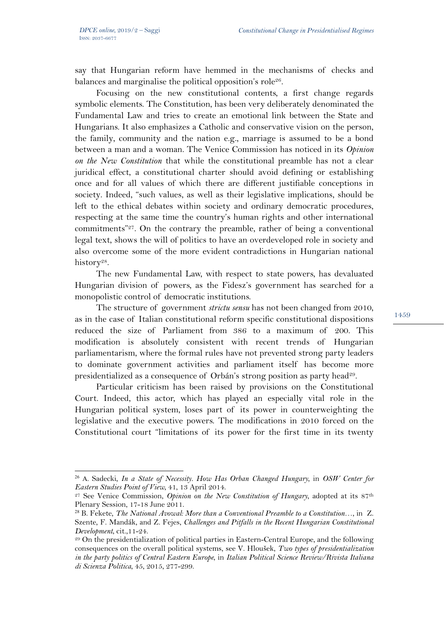say that Hungarian reform have hemmed in the mechanisms of checks and balances and marginalise the political opposition's role<sup>26</sup>.

Focusing on the new constitutional contents, a first change regards symbolic elements. The Constitution, has been very deliberately denominated the Fundamental Law and tries to create an emotional link between the State and Hungarians. It also emphasizes a Catholic and conservative vision on the person, the family, community and the nation e.g., marriage is assumed to be a bond between a man and a woman. The Venice Commission has noticed in its *Opinion on the New Constitution* that while the constitutional preamble has not a clear juridical effect, a constitutional charter should avoid defining or establishing once and for all values of which there are different justifiable conceptions in society. Indeed, "such values, as well as their legislative implications, should be left to the ethical debates within society and ordinary democratic procedures, respecting at the same time the country's human rights and other international commitments"27. On the contrary the preamble, rather of being a conventional legal text, shows the will of politics to have an overdeveloped role in society and also overcome some of the more evident contradictions in Hungarian national history<sup>28</sup>.

The new Fundamental Law, with respect to state powers, has devaluated Hungarian division of powers, as the Fidesz's government has searched for a monopolistic control of democratic institutions.

The structure of government *strictu sensu* has not been changed from 2010, as in the case of Italian constitutional reform specific constitutional dispositions reduced the size of Parliament from 386 to a maximum of 200. This modification is absolutely consistent with recent trends of Hungarian parliamentarism, where the formal rules have not prevented strong party leaders to dominate government activities and parliament itself has become more presidentialized as a consequence of Orbán's strong position as party head<sup>29</sup>.

Particular criticism has been raised by provisions on the Constitutional Court. Indeed, this actor, which has played an especially vital role in the Hungarian political system, loses part of its power in counterweighting the legislative and the executive powers. The modifications in 2010 forced on the Constitutional court "limitations of its power for the first time in its twenty

 <sup>26</sup> A. Sadecki, *In a State of Necessity. How Has Orban Changed Hungary*, in *OSW Center for Eastern Studies Point of View*, 41, 13 April 2014.

<sup>27</sup> See Venice Commission, *Opinion on the New Constitution of Hungary*, adopted at its 87th Plenary Session, 17-18 June 2011.

<sup>28</sup> B. Fekete, *The National Avowal: More than a Conventional Preamble to a Constitution…*, in Z. Szente, F. Mandák, and Z. Fejes, *Challenges and Pitfalls in the Recent Hungarian Constitutional Development*, cit.,11-24.

<sup>29</sup> On the presidentialization of political parties in Eastern-Central Europe, and the following consequences on the overall political systems, see V. Hloušek, *Two types of presidentialization in the party politics of Central Eastern Europe*, in *Italian Political Science Review/Rivista Italiana di Scienza Politica*, 45, 2015, 277-299.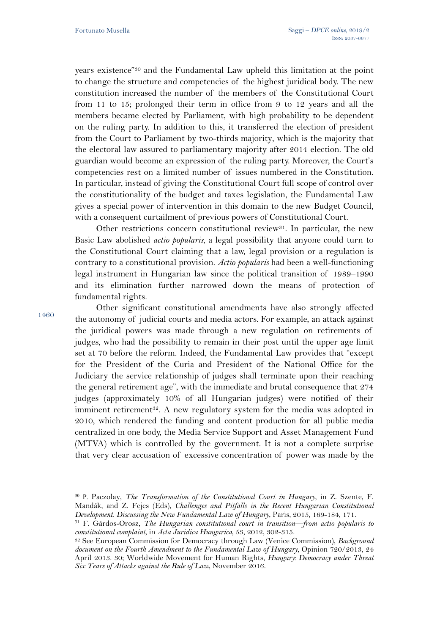years existence"30 and the Fundamental Law upheld this limitation at the point to change the structure and competencies of the highest juridical body. The new constitution increased the number of the members of the Constitutional Court from 11 to 15; prolonged their term in office from 9 to 12 years and all the members became elected by Parliament, with high probability to be dependent on the ruling party. In addition to this, it transferred the election of president from the Court to Parliament by two-thirds majority, which is the majority that the electoral law assured to parliamentary majority after 2014 election. The old guardian would become an expression of the ruling party. Moreover, the Court's competencies rest on a limited number of issues numbered in the Constitution. In particular, instead of giving the Constitutional Court full scope of control over the constitutionality of the budget and taxes legislation, the Fundamental Law gives a special power of intervention in this domain to the new Budget Council, with a consequent curtailment of previous powers of Constitutional Court.

Other restrictions concern constitutional review<sup>31</sup>. In particular, the new Basic Law abolished *actio popularis*, a legal possibility that anyone could turn to the Constitutional Court claiming that a law, legal provision or a regulation is contrary to a constitutional provision. *Actio popularis* had been a well-functioning legal instrument in Hungarian law since the political transition of 1989–1990 and its elimination further narrowed down the means of protection of fundamental rights.

Other significant constitutional amendments have also strongly affected the autonomy of judicial courts and media actors. For example, an attack against the juridical powers was made through a new regulation on retirements of judges, who had the possibility to remain in their post until the upper age limit set at 70 before the reform. Indeed, the Fundamental Law provides that "except for the President of the Curia and President of the National Office for the Judiciary the service relationship of judges shall terminate upon their reaching the general retirement age", with the immediate and brutal consequence that 274 judges (approximately 10% of all Hungarian judges) were notified of their imminent retirement<sup>32</sup>. A new regulatory system for the media was adopted in 2010, which rendered the funding and content production for all public media centralized in one body, the Media Service Support and Asset Management Fund (MTVA) which is controlled by the government. It is not a complete surprise that very clear accusation of excessive concentration of power was made by the

 <sup>30</sup> P. Paczolay, *The Transformation of the Constitutional Court in Hungary*, in Z. Szente, F. Mandák, and Z. Fejes (Eds), *Challenges and Pitfalls in the Recent Hungarian Constitutional Development. Discussing the New Fundamental Law of Hungary*, Paris, 2015, 169-184, 171.

<sup>31</sup> F. Gárdos-Orosz, *The Hungarian constitutional court in transition—from actio popularis to constitutional complaint*, in *Acta Juridica Hungarica,* 53, 2012, 302-315.

<sup>32</sup> See European Commission for Democracy through Law (Venice Commission), *Background document on the Fourth Amendment to the Fundamental Law of Hungary*, Opinion 720/2013, 24 April 2013. 30; Worldwide Movement for Human Rights, *Hungary: Democracy under Threat Six Years of Attacks against the Rule of Law*, November 2016.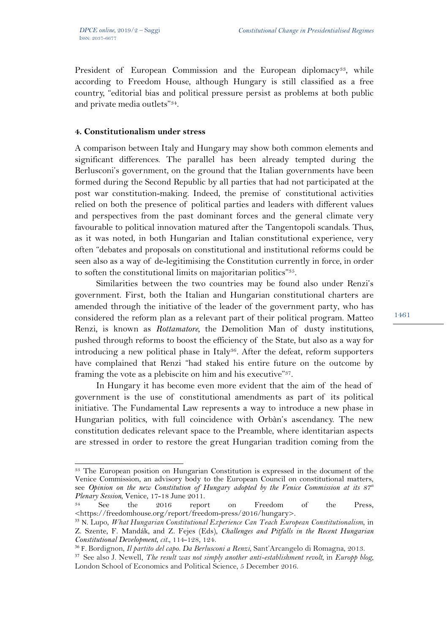l

President of European Commission and the European diplomacy<sup>33</sup>, while according to Freedom House, although Hungary is still classified as a free country, "editorial bias and political pressure persist as problems at both public and private media outlets"34.

## **4. Constitutionalism under stress**

A comparison between Italy and Hungary may show both common elements and significant differences. The parallel has been already tempted during the Berlusconi's government, on the ground that the Italian governments have been formed during the Second Republic by all parties that had not participated at the post war constitution-making. Indeed, the premise of constitutional activities relied on both the presence of political parties and leaders with different values and perspectives from the past dominant forces and the general climate very favourable to political innovation matured after the Tangentopoli scandals. Thus, as it was noted, in both Hungarian and Italian constitutional experience, very often "debates and proposals on constitutional and institutional reforms could be seen also as a way of de-legitimising the Constitution currently in force, in order to soften the constitutional limits on majoritarian politics"35.

Similarities between the two countries may be found also under Renzi's government. First, both the Italian and Hungarian constitutional charters are amended through the initiative of the leader of the government party, who has considered the reform plan as a relevant part of their political program. Matteo Renzi, is known as *Rottamatore,* the Demolition Man of dusty institutions, pushed through reforms to boost the efficiency of the State, but also as a way for introducing a new political phase in Italy<sup>36</sup>. After the defeat, reform supporters have complained that Renzi "had staked his entire future on the outcome by framing the vote as a plebiscite on him and his executive"37.

In Hungary it has become even more evident that the aim of the head of government is the use of constitutional amendments as part of its political initiative. The Fundamental Law represents a way to introduce a new phase in Hungarian politics, with full coincidence with Orbàn's ascendancy. The new constitution dedicates relevant space to the Preamble, where identitarian aspects are stressed in order to restore the great Hungarian tradition coming from the

<sup>33</sup> The European position on Hungarian Constitution is expressed in the document of the Venice Commission, an advisory body to the European Council on constitutional matters, see *Opinion on the new Constitution of Hungary adopted by the Venice Commission at its 87<sup>th</sup> Plenary Session*, Venice, 17-18 June 2011.

<sup>34</sup> See the 2016 report on Freedom of the Press, <https://freedomhouse.org/report/freedom-press/2016/hungary>.

<sup>35</sup> N. Lupo, *What Hungarian Constitutional Experience Can Teach European Constitutionalism*, in Z. Szente, F. Mandák, and Z. Fejes (Eds), *Challenges and Pitfalls in the Recent Hungarian Constitutional Development*, *cit.,* 114-128, 124.

<sup>36</sup> F. Bordignon, *Il partito del capo. Da Berlusconi a Renzi*, Sant'Arcangelo di Romagna, 2013.

<sup>37</sup> See also J. Newell, *The result was not simply another anti-establishment revolt*, in *Europp blog*, London School of Economics and Political Science, 5 December 2016.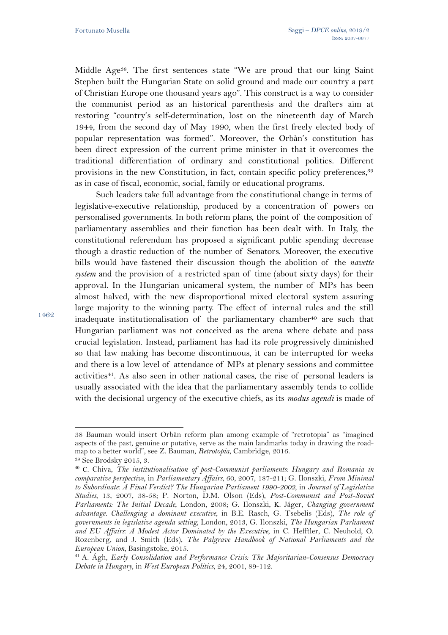Middle Age<sup>38</sup>. The first sentences state "We are proud that our king Saint Stephen built the Hungarian State on solid ground and made our country a part of Christian Europe one thousand years ago". This construct is a way to consider the communist period as an historical parenthesis and the drafters aim at restoring "country's self-determination, lost on the nineteenth day of March 1944, from the second day of May 1990, when the first freely elected body of popular representation was formed". Moreover, the Orbàn's constitution has been direct expression of the current prime minister in that it overcomes the traditional differentiation of ordinary and constitutional politics. Different provisions in the new Constitution, in fact, contain specific policy preferences,<sup>39</sup> as in case of fiscal, economic, social, family or educational programs.

Such leaders take full advantage from the constitutional change in terms of legislative-executive relationship, produced by a concentration of powers on personalised governments. In both reform plans, the point of the composition of parliamentary assemblies and their function has been dealt with. In Italy, the constitutional referendum has proposed a significant public spending decrease though a drastic reduction of the number of Senators. Moreover, the executive bills would have fastened their discussion though the abolition of the *navette system* and the provision of a restricted span of time (about sixty days) for their approval. In the Hungarian unicameral system, the number of MPs has been almost halved, with the new disproportional mixed electoral system assuring large majority to the winning party. The effect of internal rules and the still inadequate institutionalisation of the parliamentary chamber<sup>40</sup> are such that Hungarian parliament was not conceived as the arena where debate and pass crucial legislation. Instead, parliament has had its role progressively diminished so that law making has become discontinuous, it can be interrupted for weeks and there is a low level of attendance of MPs at plenary sessions and committee activities<sup>41</sup>. As also seen in other national cases, the rise of personal leaders is usually associated with the idea that the parliamentary assembly tends to collide with the decisional urgency of the executive chiefs, as its *modus agendi* is made of

 $\overline{a}$ 

<sup>38</sup> Bauman would insert Orbàn reform plan among example of "retrotopia" as "imagined aspects of the past, genuine or putative, serve as the main landmarks today in drawing the roadmap to a better world", see Z. Bauman, *Retrotopia*, Cambridge, 2016.

<sup>39</sup> See Brodsky 2015, 3.

<sup>40</sup> C. Chiva, *The institutionalisation of post-Communist parliaments: Hungary and Romania in comparative perspective*, in *Parliamentary Affairs*, 60, 2007, 187-211; G. Ilonszki, *From Minimal to Subordinate: A Final Verdict? The Hungarian Parliament 1990-2002*, in *Journal of Legislative Studies*, 13, 2007, 38-58; P. Norton, D.M. Olson (Eds), *Post-Communist and Post-Soviet Parliaments: The Initial Decade*, London, 2008; G. Ilonszki, K. Jáger, *Changing government advantage. Challenging a dominant executive*, in B.E. Rasch, G. Tsebelis (Eds), *The role of governments in legislative agenda setting*, London, 2013, G. Ilonszki, *The Hungarian Parliament and EU Affairs: A Modest Actor Dominated by the Executive*, in C. Hefftler, C. Neuhold, O. Rozenberg, and J. Smith (Eds), *The Palgrave Handbook of National Parliaments and the European Union*, Basingstoke, 2015.

<sup>41</sup> A. Ágh, *Early Consolidation and Performance Crisis: The Majoritarian-Consensus Democracy Debate in Hungary*, in *West European Politics*, 24, 2001, 89-112.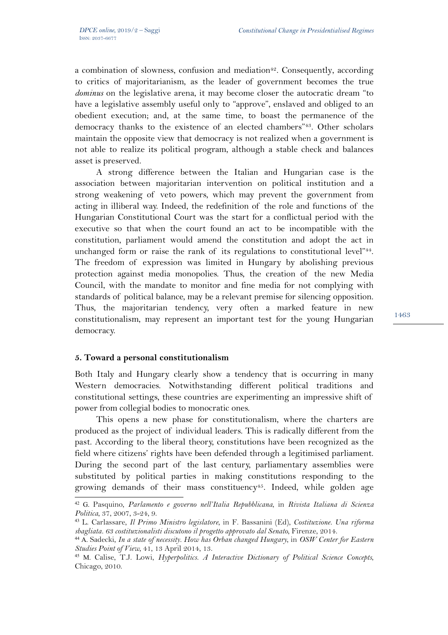a combination of slowness, confusion and mediation<sup>42</sup>. Consequently, according to critics of majoritarianism, as the leader of government becomes the true *dominus* on the legislative arena, it may become closer the autocratic dream "to have a legislative assembly useful only to "approve", enslaved and obliged to an obedient execution; and, at the same time, to boast the permanence of the democracy thanks to the existence of an elected chambers"43. Other scholars maintain the opposite view that democracy is not realized when a government is not able to realize its political program, although a stable check and balances asset is preserved.

A strong difference between the Italian and Hungarian case is the association between majoritarian intervention on political institution and a strong weakening of veto powers, which may prevent the government from acting in illiberal way. Indeed, the redefinition of the role and functions of the Hungarian Constitutional Court was the start for a conflictual period with the executive so that when the court found an act to be incompatible with the constitution, parliament would amend the constitution and adopt the act in unchanged form or raise the rank of its regulations to constitutional level"<sup>44</sup>. The freedom of expression was limited in Hungary by abolishing previous protection against media monopolies. Thus, the creation of the new Media Council, with the mandate to monitor and fine media for not complying with standards of political balance, may be a relevant premise for silencing opposition. Thus, the majoritarian tendency, very often a marked feature in new constitutionalism, may represent an important test for the young Hungarian democracy.

## **5. Toward a personal constitutionalism**

Both Italy and Hungary clearly show a tendency that is occurring in many Western democracies. Notwithstanding different political traditions and constitutional settings, these countries are experimenting an impressive shift of power from collegial bodies to monocratic ones.

This opens a new phase for constitutionalism, where the charters are produced as the project of individual leaders. This is radically different from the past. According to the liberal theory, constitutions have been recognized as the field where citizens' rights have been defended through a legitimised parliament. During the second part of the last century, parliamentary assemblies were substituted by political parties in making constitutions responding to the growing demands of their mass constituency<sup>45</sup>. Indeed, while golden age

<sup>42</sup> G. Pasquino, *Parlamento e governo nell'Italia Repubblicana*, in *Rivista Italiana di Scienza Politica*, 37, 2007, 3-24, 9.

<sup>43</sup> L. Carlassare, *Il Primo Ministro legislatore*, in F. Bassanini (Ed), *Costituzione. Una riforma sbagliata. 63 costituzionalisti discutono il progetto approvato dal Senato*, Firenze, 2014.

<sup>44</sup> A. Sadecki, *In a state of necessity. How has Orban changed Hungary*, in *OSW Center for Eastern Studies Point of View*, 41, 13 April 2014, 13.

<sup>45</sup> M. Calise, T.J. Lowi, *Hyperpolitics. A Interactive Dictionary of Political Science Concepts*, Chicago, 2010.